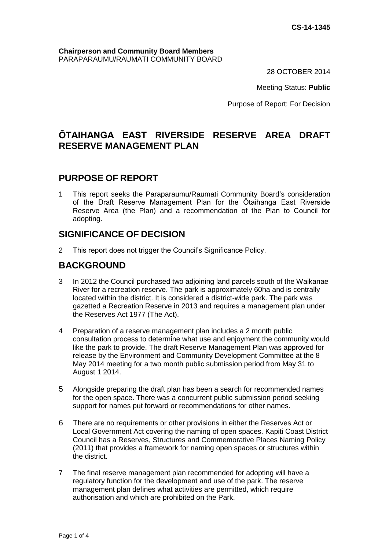#### **Chairperson and Community Board Members** PARAPARAUMU/RAUMATI COMMUNITY BOARD

28 OCTOBER 2014

Meeting Status: **Public**

Purpose of Report: For Decision

# **ŌTAIHANGA EAST RIVERSIDE RESERVE AREA DRAFT RESERVE MANAGEMENT PLAN**

## **PURPOSE OF REPORT**

1 This report seeks the Paraparaumu/Raumati Community Board's consideration of the Draft Reserve Management Plan for the Ōtaihanga East Riverside Reserve Area (the Plan) and a recommendation of the Plan to Council for adopting.

## **SIGNIFICANCE OF DECISION**

2 This report does not trigger the Council's Significance Policy.

## **BACKGROUND**

- 3 In 2012 the Council purchased two adjoining land parcels south of the Waikanae River for a recreation reserve. The park is approximately 60ha and is centrally located within the district. It is considered a district-wide park. The park was gazetted a Recreation Reserve in 2013 and requires a management plan under the Reserves Act 1977 (The Act).
- 4 Preparation of a reserve management plan includes a 2 month public consultation process to determine what use and enjoyment the community would like the park to provide. The draft Reserve Management Plan was approved for release by the Environment and Community Development Committee at the 8 May 2014 meeting for a two month public submission period from May 31 to August 1 2014.
- 5 Alongside preparing the draft plan has been a search for recommended names for the open space. There was a concurrent public submission period seeking support for names put forward or recommendations for other names.
- 6 There are no requirements or other provisions in either the Reserves Act or Local Government Act covering the naming of open spaces. Kapiti Coast District Council has a Reserves, Structures and Commemorative Places Naming Policy (2011) that provides a framework for naming open spaces or structures within the district.
- 7 The final reserve management plan recommended for adopting will have a regulatory function for the development and use of the park. The reserve management plan defines what activities are permitted, which require authorisation and which are prohibited on the Park.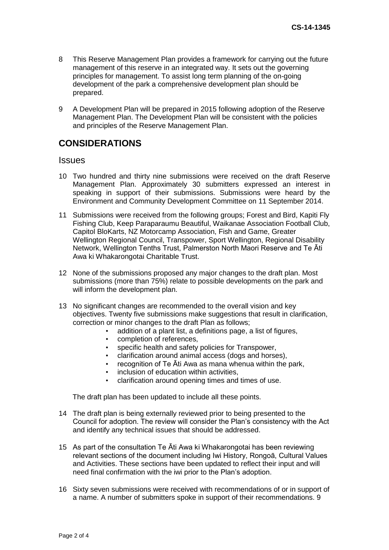- 8 This Reserve Management Plan provides a framework for carrying out the future management of this reserve in an integrated way. It sets out the governing principles for management. To assist long term planning of the on-going development of the park a comprehensive development plan should be prepared.
- 9 A Development Plan will be prepared in 2015 following adoption of the Reserve Management Plan. The Development Plan will be consistent with the policies and principles of the Reserve Management Plan.

## **CONSIDERATIONS**

#### **Issues**

- 10 Two hundred and thirty nine submissions were received on the draft Reserve Management Plan. Approximately 30 submitters expressed an interest in speaking in support of their submissions. Submissions were heard by the Environment and Community Development Committee on 11 September 2014.
- 11 Submissions were received from the following groups; Forest and Bird, Kapiti Fly Fishing Club, Keep Paraparaumu Beautiful, Waikanae Association Football Club, Capitol BloKarts, NZ Motorcamp Association, Fish and Game, Greater Wellington Regional Council, Transpower, Sport Wellington, Regional Disability Network, Wellington Tenths Trust, Palmerston North Maori Reserve and Te Āti Awa ki Whakarongotai Charitable Trust.
- 12 None of the submissions proposed any major changes to the draft plan. Most submissions (more than 75%) relate to possible developments on the park and will inform the development plan.
- 13 No significant changes are recommended to the overall vision and key objectives. Twenty five submissions make suggestions that result in clarification, correction or minor changes to the draft Plan as follows;
	- addition of a plant list, a definitions page, a list of figures,
	- completion of references,
	- specific health and safety policies for Transpower,
	- clarification around animal access (dogs and horses),
	- recognition of Te Āti Awa as mana whenua within the park,
	- inclusion of education within activities.
	- clarification around opening times and times of use.

The draft plan has been updated to include all these points.

- 14 The draft plan is being externally reviewed prior to being presented to the Council for adoption. The review will consider the Plan's consistency with the Act and identify any technical issues that should be addressed.
- 15 As part of the consultation Te Āti Awa ki Whakarongotai has been reviewing relevant sections of the document including Iwi History, Rongoā, Cultural Values and Activities. These sections have been updated to reflect their input and will need final confirmation with the iwi prior to the Plan's adoption.
- 16 Sixty seven submissions were received with recommendations of or in support of a name. A number of submitters spoke in support of their recommendations. 9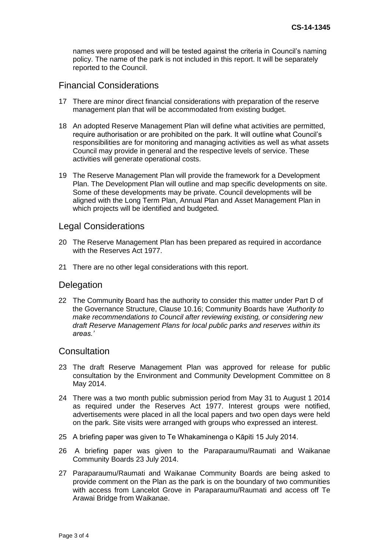names were proposed and will be tested against the criteria in Council's naming policy. The name of the park is not included in this report. It will be separately reported to the Council.

### Financial Considerations

- 17 There are minor direct financial considerations with preparation of the reserve management plan that will be accommodated from existing budget.
- 18 An adopted Reserve Management Plan will define what activities are permitted, require authorisation or are prohibited on the park. It will outline what Council's responsibilities are for monitoring and managing activities as well as what assets Council may provide in general and the respective levels of service. These activities will generate operational costs.
- 19 The Reserve Management Plan will provide the framework for a Development Plan. The Development Plan will outline and map specific developments on site. Some of these developments may be private. Council developments will be aligned with the Long Term Plan, Annual Plan and Asset Management Plan in which projects will be identified and budgeted.

#### Legal Considerations

- 20 The Reserve Management Plan has been prepared as required in accordance with the Reserves Act 1977.
- 21 There are no other legal considerations with this report.

#### **Delegation**

22 The Community Board has the authority to consider this matter under Part D of the Governance Structure, Clause 10.16; Community Boards have *'Authority to make recommendations to Council after reviewing existing, or considering new draft Reserve Management Plans for local public parks and reserves within its areas.'*

#### **Consultation**

- 23 The draft Reserve Management Plan was approved for release for public consultation by the Environment and Community Development Committee on 8 May 2014.
- 24 There was a two month public submission period from May 31 to August 1 2014 as required under the Reserves Act 1977. Interest groups were notified, advertisements were placed in all the local papers and two open days were held on the park. Site visits were arranged with groups who expressed an interest.
- 25 A briefing paper was given to Te Whakaminenga o Kāpiti 15 July 2014.
- 26 A briefing paper was given to the Paraparaumu/Raumati and Waikanae Community Boards 23 July 2014.
- 27 Paraparaumu/Raumati and Waikanae Community Boards are being asked to provide comment on the Plan as the park is on the boundary of two communities with access from Lancelot Grove in Paraparaumu/Raumati and access off Te Arawai Bridge from Waikanae.